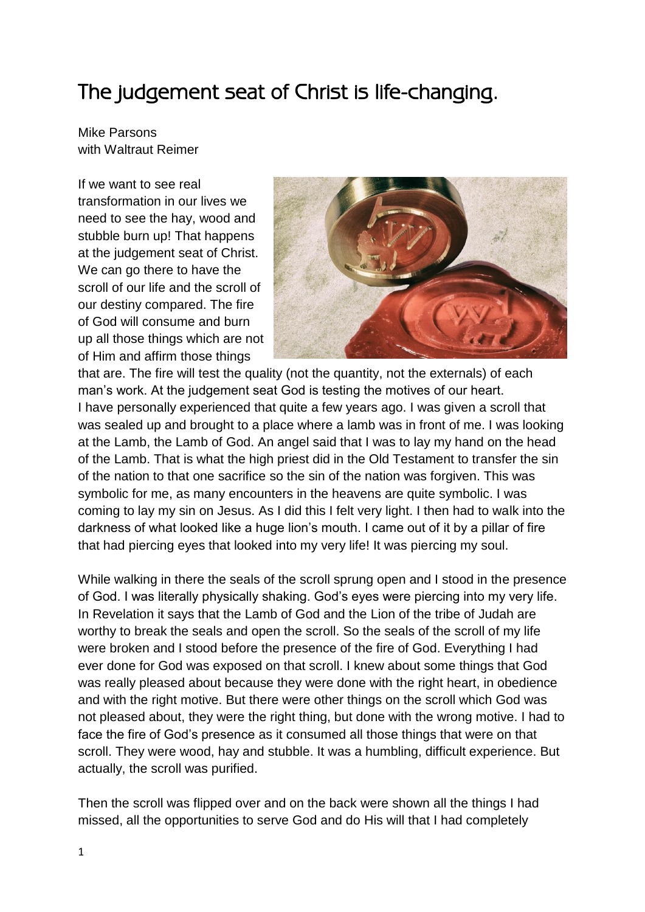## The judgement seat of Christ is life-changing.

Mike Parsons with Waltraut Reimer

If we want to see real transformation in our lives we need to see the hay, wood and stubble burn up! That happens at the judgement seat of Christ. We can go there to have the scroll of our life and the scroll of our destiny compared. The fire of God will consume and burn up all those things which are not of Him and affirm those things



that are. The fire will test the quality (not the quantity, not the externals) of each man's work. At the judgement seat God is testing the motives of our heart. I have personally experienced that quite a few years ago. I was given a scroll that was sealed up and brought to a place where a lamb was in front of me. I was looking at the Lamb, the Lamb of God. An angel said that I was to lay my hand on the head of the Lamb. That is what the high priest did in the Old Testament to transfer the sin of the nation to that one sacrifice so the sin of the nation was forgiven. This was symbolic for me, as many encounters in the heavens are quite symbolic. I was coming to lay my sin on Jesus. As I did this I felt very light. I then had to walk into the darkness of what looked like a huge lion's mouth. I came out of it by a pillar of fire that had piercing eyes that looked into my very life! It was piercing my soul.

While walking in there the seals of the scroll sprung open and I stood in the presence of God. I was literally physically shaking. God's eyes were piercing into my very life. In Revelation it says that the Lamb of God and the Lion of the tribe of Judah are worthy to break the seals and open the scroll. So the seals of the scroll of my life were broken and I stood before the presence of the fire of God. Everything I had ever done for God was exposed on that scroll. I knew about some things that God was really pleased about because they were done with the right heart, in obedience and with the right motive. But there were other things on the scroll which God was not pleased about, they were the right thing, but done with the wrong motive. I had to face the fire of God's presence as it consumed all those things that were on that scroll. They were wood, hay and stubble. It was a humbling, difficult experience. But actually, the scroll was purified.

Then the scroll was flipped over and on the back were shown all the things I had missed, all the opportunities to serve God and do His will that I had completely